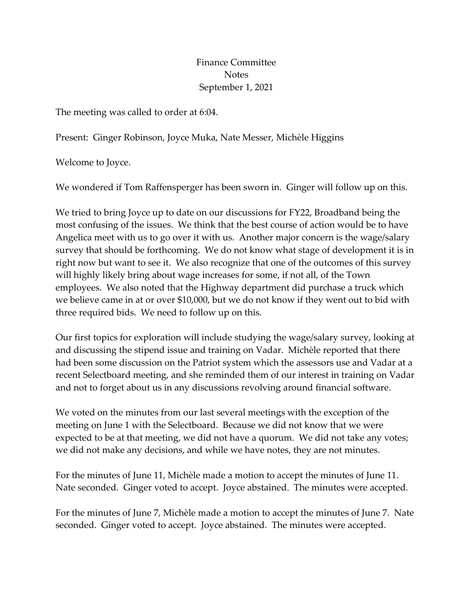## Finance Committee **Notes** September 1, 2021

The meeting was called to order at 6:04.

Present: Ginger Robinson, Joyce Muka, Nate Messer, Michèle Higgins

Welcome to Joyce.

We wondered if Tom Raffensperger has been sworn in. Ginger will follow up on this.

We tried to bring Joyce up to date on our discussions for FY22, Broadband being the most confusing of the issues. We think that the best course of action would be to have Angelica meet with us to go over it with us. Another major concern is the wage/salary survey that should be forthcoming. We do not know what stage of development it is in right now but want to see it. We also recognize that one of the outcomes of this survey will highly likely bring about wage increases for some, if not all, of the Town employees. We also noted that the Highway department did purchase a truck which we believe came in at or over \$10,000, but we do not know if they went out to bid with three required bids. We need to follow up on this.

Our first topics for exploration will include studying the wage/salary survey, looking at and discussing the stipend issue and training on Vadar. Michèle reported that there had been some discussion on the Patriot system which the assessors use and Vadar at a recent Selectboard meeting, and she reminded them of our interest in training on Vadar and not to forget about us in any discussions revolving around financial software.

We voted on the minutes from our last several meetings with the exception of the meeting on June 1 with the Selectboard. Because we did not know that we were expected to be at that meeting, we did not have a quorum. We did not take any votes; we did not make any decisions, and while we have notes, they are not minutes.

For the minutes of June 11, Michèle made a motion to accept the minutes of June 11. Nate seconded. Ginger voted to accept. Joyce abstained. The minutes were accepted.

For the minutes of June 7, Michèle made a motion to accept the minutes of June 7. Nate seconded. Ginger voted to accept. Joyce abstained. The minutes were accepted.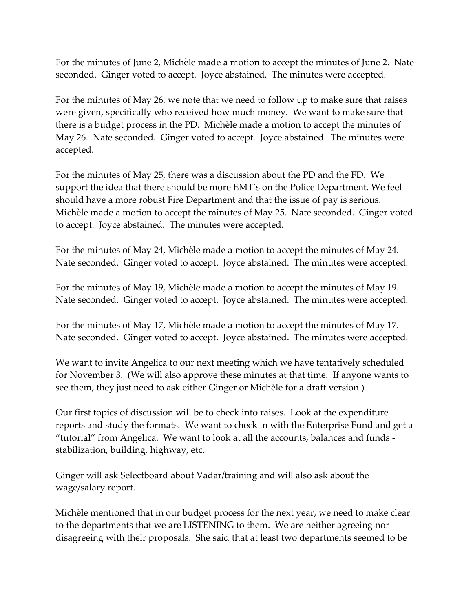For the minutes of June 2, Michèle made a motion to accept the minutes of June 2. Nate seconded. Ginger voted to accept. Joyce abstained. The minutes were accepted.

For the minutes of May 26, we note that we need to follow up to make sure that raises were given, specifically who received how much money. We want to make sure that there is a budget process in the PD. Michèle made a motion to accept the minutes of May 26. Nate seconded. Ginger voted to accept. Joyce abstained. The minutes were accepted.

For the minutes of May 25, there was a discussion about the PD and the FD. We support the idea that there should be more EMT's on the Police Department. We feel should have a more robust Fire Department and that the issue of pay is serious. Michèle made a motion to accept the minutes of May 25. Nate seconded. Ginger voted to accept. Joyce abstained. The minutes were accepted.

For the minutes of May 24, Michèle made a motion to accept the minutes of May 24. Nate seconded. Ginger voted to accept. Joyce abstained. The minutes were accepted.

For the minutes of May 19, Michèle made a motion to accept the minutes of May 19. Nate seconded. Ginger voted to accept. Joyce abstained. The minutes were accepted.

For the minutes of May 17, Michèle made a motion to accept the minutes of May 17. Nate seconded. Ginger voted to accept. Joyce abstained. The minutes were accepted.

We want to invite Angelica to our next meeting which we have tentatively scheduled for November 3. (We will also approve these minutes at that time. If anyone wants to see them, they just need to ask either Ginger or Michèle for a draft version.)

Our first topics of discussion will be to check into raises. Look at the expenditure reports and study the formats. We want to check in with the Enterprise Fund and get a "tutorial" from Angelica. We want to look at all the accounts, balances and funds stabilization, building, highway, etc.

Ginger will ask Selectboard about Vadar/training and will also ask about the wage/salary report.

Michèle mentioned that in our budget process for the next year, we need to make clear to the departments that we are LISTENING to them. We are neither agreeing nor disagreeing with their proposals. She said that at least two departments seemed to be